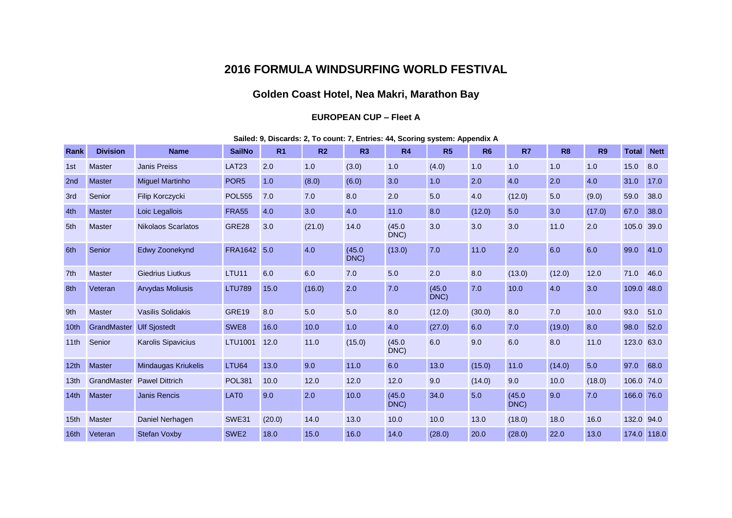## **2016 FORMULA WINDSURFING WORLD FESTIVAL**

## **Golden Coast Hotel, Nea Makri, Marathon Bay**

## **EUROPEAN CUP – Fleet A**

|  | Sailed: 9, Discards: 2, To count: 7, Entries: 44, Scoring system: Appendix A |  |  |
|--|------------------------------------------------------------------------------|--|--|
|  |                                                                              |  |  |

| Rank             | <b>Division</b> | <b>Name</b>                | <b>SailNo</b>     | R <sub>1</sub> | R <sub>2</sub> | R <sub>3</sub> | <b>R4</b>      | R <sub>5</sub> | R <sub>6</sub> | R7             | R <sub>8</sub> | <b>R9</b> | <b>Total</b> | <b>Nett</b> |
|------------------|-----------------|----------------------------|-------------------|----------------|----------------|----------------|----------------|----------------|----------------|----------------|----------------|-----------|--------------|-------------|
| 1st              | <b>Master</b>   | <b>Janis Preiss</b>        | LAT <sub>23</sub> | 2.0            | 1.0            | (3.0)          | 1.0            | (4.0)          | 1.0            | 1.0            | 1.0            | 1.0       | 15.0         | 8.0         |
| 2nd              | <b>Master</b>   | <b>Miguel Martinho</b>     | POR <sub>5</sub>  | 1.0            | (8.0)          | (6.0)          | 3.0            | 1.0            | 2.0            | 4.0            | 2.0            | 4.0       | 31.0         | 17.0        |
| 3rd              | Senior          | Filip Korczycki            | <b>POL555</b>     | 7.0            | 7.0            | 8.0            | 2.0            | 5.0            | 4.0            | (12.0)         | 5.0            | (9.0)     | 59.0         | 38.0        |
| 4th              | <b>Master</b>   | Loic Legallois             | <b>FRA55</b>      | 4.0            | 3.0            | 4.0            | 11.0           | 8.0            | (12.0)         | 5.0            | 3.0            | (17.0)    | 67.0         | 38.0        |
| 5th              | <b>Master</b>   | <b>Nikolaos Scarlatos</b>  | GRE28             | 3.0            | (21.0)         | 14.0           | (45.0)<br>DNC) | 3.0            | 3.0            | 3.0            | 11.0           | 2.0       | 105.0        | 39.0        |
| 6th              | Senior          | Edwy Zoonekynd             | <b>FRA1642</b>    | 5.0            | 4.0            | (45.0)<br>DNC) | (13.0)         | 7.0            | 11.0           | 2.0            | 6.0            | 6.0       | 99.0         | 41.0        |
| 7th              | <b>Master</b>   | <b>Giedrius Liutkus</b>    | LTU11             | 6.0            | 6.0            | 7.0            | 5.0            | 2.0            | 8.0            | (13.0)         | (12.0)         | 12.0      | 71.0         | 46.0        |
| 8th              | Veteran         | <b>Arvydas Moliusis</b>    | <b>LTU789</b>     | 15.0           | (16.0)         | 2.0            | 7.0            | (45.0)<br>DNC) | 7.0            | 10.0           | 4.0            | 3.0       | 109.0        | 48.0        |
| 9th              | <b>Master</b>   | <b>Vasilis Solidakis</b>   | <b>GRE19</b>      | 8.0            | 5.0            | 5.0            | 8.0            | (12.0)         | (30.0)         | 8.0            | 7.0            | 10.0      | 93.0         | 51.0        |
| 10th             | GrandMaster     | <b>Ulf Sjostedt</b>        | SWE8              | 16.0           | 10.0           | 1.0            | 4.0            | (27.0)         | 6.0            | 7.0            | (19.0)         | 8.0       | 98.0         | 52.0        |
| 11th             | Senior          | Karolis Sipavicius         | <b>LTU1001</b>    | 12.0           | 11.0           | (15.0)         | (45.0)<br>DNC) | 6.0            | 9.0            | 6.0            | 8.0            | 11.0      | 123.0        | 63.0        |
| 12 <sub>th</sub> | <b>Master</b>   | <b>Mindaugas Kriukelis</b> | LTU64             | 13.0           | 9.0            | 11.0           | 6.0            | 13.0           | (15.0)         | 11.0           | (14.0)         | 5.0       | 97.0         | 68.0        |
| 13 <sub>th</sub> | GrandMaster     | <b>Pawel Dittrich</b>      | <b>POL381</b>     | 10.0           | 12.0           | 12.0           | 12.0           | 9.0            | (14.0)         | 9.0            | 10.0           | (18.0)    | 106.0        | 74.0        |
| 14th             | <b>Master</b>   | <b>Janis Rencis</b>        | LAT <sub>0</sub>  | 9.0            | 2.0            | 10.0           | (45.0)<br>DNC) | 34.0           | 5.0            | (45.0)<br>DNC) | 9.0            | 7.0       | 166.0        | 76.0        |
| 15 <sub>th</sub> | <b>Master</b>   | Daniel Nerhagen            | <b>SWE31</b>      | (20.0)         | 14.0           | 13.0           | 10.0           | 10.0           | 13.0           | (18.0)         | 18.0           | 16.0      | 132.0        | 94.0        |
| 16 <sub>th</sub> | Veteran         | <b>Stefan Voxby</b>        | SWE <sub>2</sub>  | 18.0           | 15.0           | 16.0           | 14.0           | (28.0)         | 20.0           | (28.0)         | 22.0           | 13.0      |              | 174.0 118.0 |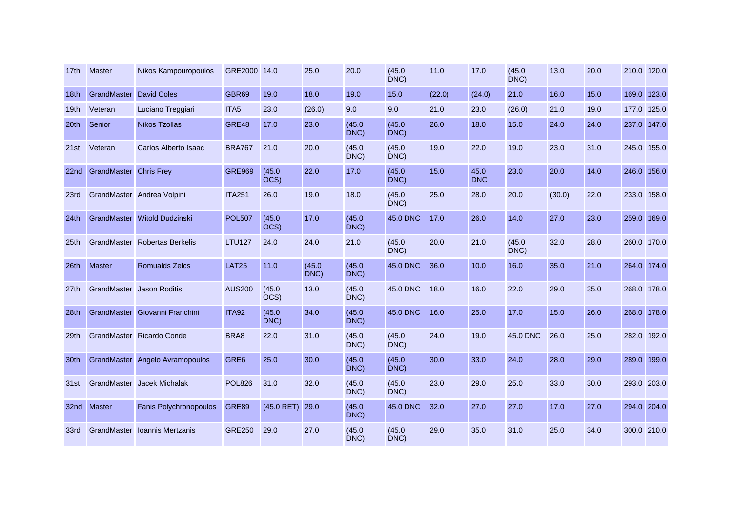| 17th             | Master                         | Nikos Kampouropoulos            | GRE2000 14.0     |                | 25.0           | 20.0           | (45.0)<br>DNC) | 11.0   | 17.0               | (45.0)<br>DNC) | 13.0   | 20.0 | 210.0 120.0 |       |
|------------------|--------------------------------|---------------------------------|------------------|----------------|----------------|----------------|----------------|--------|--------------------|----------------|--------|------|-------------|-------|
| 18th             | <b>GrandMaster</b> David Coles |                                 | GBR69            | 19.0           | 18.0           | 19.0           | 15.0           | (22.0) | (24.0)             | 21.0           | 16.0   | 15.0 | 169.0       | 123.0 |
| 19 <sub>th</sub> | Veteran                        | Luciano Treggiari               | ITA <sub>5</sub> | 23.0           | (26.0)         | 9.0            | 9.0            | 21.0   | 23.0               | (26.0)         | 21.0   | 19.0 | 177.0       | 125.0 |
| 20th             | Senior                         | <b>Nikos Tzollas</b>            | GRE48            | 17.0           | 23.0           | (45.0)<br>DNC) | (45.0)<br>DNC) | 26.0   | 18.0               | 15.0           | 24.0   | 24.0 | 237.0       | 147.0 |
| 21st             | Veteran                        | Carlos Alberto Isaac            | <b>BRA767</b>    | 21.0           | 20.0           | (45.0)<br>DNC) | (45.0)<br>DNC) | 19.0   | 22.0               | 19.0           | 23.0   | 31.0 | 245.0 155.0 |       |
| 22 <sub>nd</sub> | <b>GrandMaster Chris Frey</b>  |                                 | <b>GRE969</b>    | (45.0)<br>OCS) | 22.0           | 17.0           | (45.0)<br>DNC) | 15.0   | 45.0<br><b>DNC</b> | 23.0           | 20.0   | 14.0 | 246.0 156.0 |       |
| 23rd             |                                | GrandMaster Andrea Volpini      | <b>ITA251</b>    | 26.0           | 19.0           | 18.0           | (45.0)<br>DNC) | 25.0   | 28.0               | 20.0           | (30.0) | 22.0 | 233.0 158.0 |       |
| 24 <sub>th</sub> |                                | GrandMaster Witold Dudzinski    | <b>POL507</b>    | (45.0)<br>OCS) | 17.0           | (45.0)<br>DNC) | 45.0 DNC       | 17.0   | 26.0               | 14.0           | 27.0   | 23.0 | 259.0 169.0 |       |
| 25th             |                                | GrandMaster Robertas Berkelis   | <b>LTU127</b>    | 24.0           | 24.0           | 21.0           | (45.0)<br>DNC) | 20.0   | 21.0               | (45.0)<br>DNC) | 32.0   | 28.0 | 260.0 170.0 |       |
| 26th             | <b>Master</b>                  | <b>Romualds Zelcs</b>           | <b>LAT25</b>     | 11.0           | (45.0)<br>DNC) | (45.0)<br>DNC) | 45.0 DNC       | 36.0   | 10.0               | 16.0           | 35.0   | 21.0 | 264.0 174.0 |       |
| 27th             | GrandMaster                    | <b>Jason Roditis</b>            | <b>AUS200</b>    | (45.0)<br>OCS) | 13.0           | (45.0)<br>DNC) | 45.0 DNC       | 18.0   | 16.0               | 22.0           | 29.0   | 35.0 | 268.0 178.0 |       |
| 28th             |                                | GrandMaster Giovanni Franchini  | <b>ITA92</b>     | (45.0)<br>DNC) | 34.0           | (45.0)<br>DNC) | 45.0 DNC       | 16.0   | 25.0               | 17.0           | 15.0   | 26.0 | 268.0 178.0 |       |
| 29th             |                                | GrandMaster Ricardo Conde       | BRA8             | 22.0           | 31.0           | (45.0)<br>DNC) | (45.0)<br>DNC) | 24.0   | 19.0               | 45.0 DNC       | 26.0   | 25.0 | 282.0 192.0 |       |
| 30th             |                                | GrandMaster Angelo Avramopoulos | GRE6             | 25.0           | 30.0           | (45.0)<br>DNC) | (45.0)<br>DNC) | 30.0   | 33.0               | 24.0           | 28.0   | 29.0 | 289.0       | 199.0 |
| 31st             |                                | GrandMaster Jacek Michalak      | <b>POL826</b>    | 31.0           | 32.0           | (45.0)<br>DNC) | (45.0)<br>DNC) | 23.0   | 29.0               | 25.0           | 33.0   | 30.0 | 293.0 203.0 |       |
| 32nd             | <b>Master</b>                  | Fanis Polychronopoulos          | <b>GRE89</b>     | $(45.0$ RET)   | 29.0           | (45.0)<br>DNC) | 45.0 DNC       | 32.0   | 27.0               | 27.0           | 17.0   | 27.0 | 294.0 204.0 |       |
| 33rd             | GrandMaster                    | Ioannis Mertzanis               | <b>GRE250</b>    | 29.0           | 27.0           | (45.0)<br>DNC) | (45.0)<br>DNC) | 29.0   | 35.0               | 31.0           | 25.0   | 34.0 | 300.0 210.0 |       |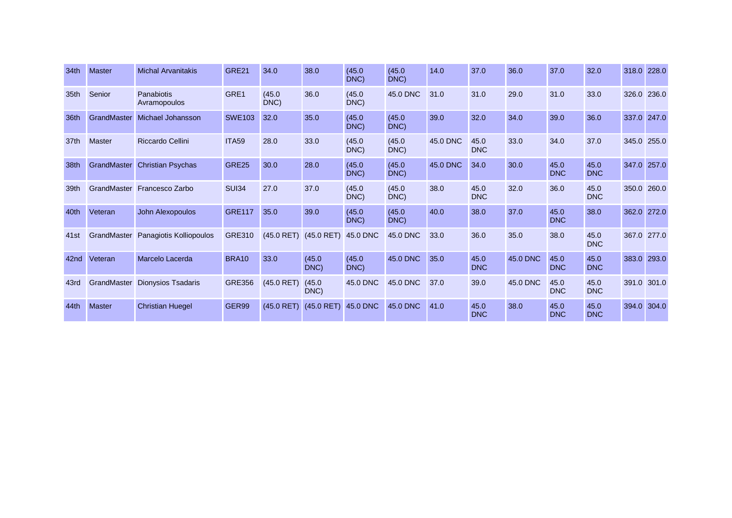| 34th | <b>Master</b> | <b>Michal Arvanitakis</b>           | GRE21         | 34.0           | 38.0                      | (45.0)<br>DNC) | (45.0)<br>DNC) | 14.0     | 37.0               | 36.0     | 37.0               | 32.0               | 318.0 228.0 |             |
|------|---------------|-------------------------------------|---------------|----------------|---------------------------|----------------|----------------|----------|--------------------|----------|--------------------|--------------------|-------------|-------------|
| 35th | Senior        | Panabiotis<br>Avramopoulos          | GRE1          | (45.0)<br>DNC) | 36.0                      | (45.0)<br>DNC) | 45.0 DNC       | 31.0     | 31.0               | 29.0     | 31.0               | 33.0               | 326.0       | 236.0       |
| 36th | GrandMaster   | Michael Johansson                   | <b>SWE103</b> | 32.0           | 35.0                      | (45.0)<br>DNC) | (45.0)<br>DNC) | 39.0     | 32.0               | 34.0     | 39.0               | 36.0               |             | 337.0 247.0 |
| 37th | <b>Master</b> | Riccardo Cellini                    | <b>ITA59</b>  | 28.0           | 33.0                      | (45.0)<br>DNC) | (45.0)<br>DNC) | 45.0 DNC | 45.0<br><b>DNC</b> | 33.0     | 34.0               | 37.0               |             | 345.0 255.0 |
| 38th | GrandMaster   | <b>Christian Psychas</b>            | <b>GRE25</b>  | 30.0           | 28.0                      | (45.0)<br>DNC) | (45.0)<br>DNC) | 45.0 DNC | 34.0               | 30.0     | 45.0<br><b>DNC</b> | 45.0<br><b>DNC</b> | 347.0 257.0 |             |
| 39th |               | GrandMaster Francesco Zarbo         | <b>SUI34</b>  | 27.0           | 37.0                      | (45.0)<br>DNC) | (45.0)<br>DNC) | 38.0     | 45.0<br><b>DNC</b> | 32.0     | 36.0               | 45.0<br><b>DNC</b> | 350.0       | 260.0       |
| 40th | Veteran       | John Alexopoulos                    | <b>GRE117</b> | 35.0           | 39.0                      | (45.0)<br>DNC) | (45.0)<br>DNC) | 40.0     | 38.0               | 37.0     | 45.0<br><b>DNC</b> | 38.0               |             | 362.0 272.0 |
| 41st |               | GrandMaster Panagiotis Kolliopoulos | <b>GRE310</b> |                | $(45.0$ RET) $(45.0$ RET) | 45.0 DNC       | 45.0 DNC       | 33.0     | 36.0               | 35.0     | 38.0               | 45.0<br><b>DNC</b> | 367.0       | 277.0       |
| 42nd | Veteran       | Marcelo Lacerda                     | <b>BRA10</b>  | 33.0           | (45.0)<br>DNC)            | (45.0)<br>DNC) | 45.0 DNC       | 35.0     | 45.0<br><b>DNC</b> | 45.0 DNC | 45.0<br><b>DNC</b> | 45.0<br><b>DNC</b> | 383.0       | 293.0       |
| 43rd |               | GrandMaster Dionysios Tsadaris      | <b>GRE356</b> | $(45.0$ RET)   | (45.0)<br>DNC)            | 45.0 DNC       | 45.0 DNC       | 37.0     | 39.0               | 45.0 DNC | 45.0<br><b>DNC</b> | 45.0<br><b>DNC</b> | 391.0       | 301.0       |
| 44th | <b>Master</b> | <b>Christian Huegel</b>             | GER99         | $(45.0$ RET)   | $(45.0$ RET)              | 45.0 DNC       | 45.0 DNC       | 41.0     | 45.0<br><b>DNC</b> | 38.0     | 45.0<br><b>DNC</b> | 45.0<br><b>DNC</b> | 394.0       | 304.0       |